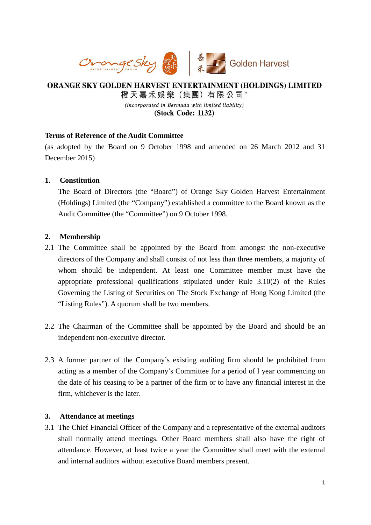

# ORANGE SKY GOLDEN HARVEST ENTERTAINMENT (HOLDINGS) LIMITED 橙天嘉禾娛樂 (集團) 有限公司\* (incorporated in Bermuda with limited liability)

(Stock Code: 1132)

# **Terms of Reference of the Audit Committee**

(as adopted by the Board on 9 October 1998 and amended on 26 March 2012 and 31 December 2015)

# **1. Constitution**

The Board of Directors (the "Board") of Orange Sky Golden Harvest Entertainment (Holdings) Limited (the "Company") established a committee to the Board known as the Audit Committee (the "Committee") on 9 October 1998.

# **2. Membership**

- 2.1 The Committee shall be appointed by the Board from amongst the non-executive directors of the Company and shall consist of not less than three members, a majority of whom should be independent. At least one Committee member must have the appropriate professional qualifications stipulated under Rule 3.10(2) of the Rules Governing the Listing of Securities on The Stock Exchange of Hong Kong Limited (the "Listing Rules"). A quorum shall be two members.
- 2.2 The Chairman of the Committee shall be appointed by the Board and should be an independent non-executive director.
- 2.3 A former partner of the Company's existing auditing firm should be prohibited from acting as a member of the Company's Committee for a period of l year commencing on the date of his ceasing to be a partner of the firm or to have any financial interest in the firm, whichever is the later.

### **3. Attendance at meetings**

3.1 The Chief Financial Officer of the Company and a representative of the external auditors shall normally attend meetings. Other Board members shall also have the right of attendance. However, at least twice a year the Committee shall meet with the external and internal auditors without executive Board members present.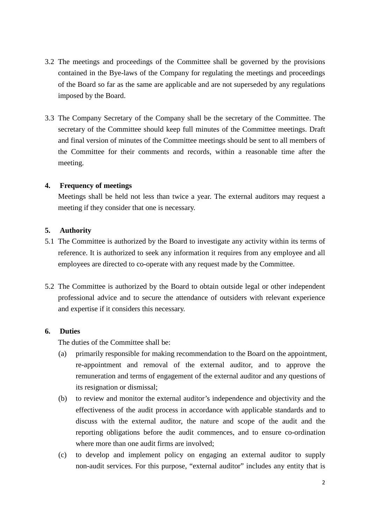- 3.2 The meetings and proceedings of the Committee shall be governed by the provisions contained in the Bye-laws of the Company for regulating the meetings and proceedings of the Board so far as the same are applicable and are not superseded by any regulations imposed by the Board.
- 3.3 The Company Secretary of the Company shall be the secretary of the Committee. The secretary of the Committee should keep full minutes of the Committee meetings. Draft and final version of minutes of the Committee meetings should be sent to all members of the Committee for their comments and records, within a reasonable time after the meeting.

#### **4. Frequency of meetings**

Meetings shall be held not less than twice a year. The external auditors may request a meeting if they consider that one is necessary.

# **5. Authority**

- 5.1 The Committee is authorized by the Board to investigate any activity within its terms of reference. It is authorized to seek any information it requires from any employee and all employees are directed to co-operate with any request made by the Committee.
- 5.2 The Committee is authorized by the Board to obtain outside legal or other independent professional advice and to secure the attendance of outsiders with relevant experience and expertise if it considers this necessary.

## **6. Duties**

The duties of the Committee shall be:

- (a) primarily responsible for making recommendation to the Board on the appointment, re-appointment and removal of the external auditor, and to approve the remuneration and terms of engagement of the external auditor and any questions of its resignation or dismissal;
- (b) to review and monitor the external auditor's independence and objectivity and the effectiveness of the audit process in accordance with applicable standards and to discuss with the external auditor, the nature and scope of the audit and the reporting obligations before the audit commences, and to ensure co-ordination where more than one audit firms are involved;
- (c) to develop and implement policy on engaging an external auditor to supply non-audit services. For this purpose, "external auditor" includes any entity that is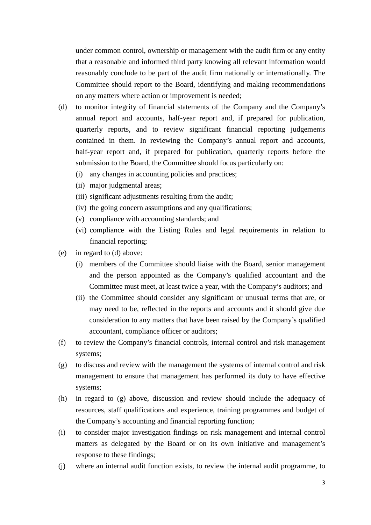under common control, ownership or management with the audit firm or any entity that a reasonable and informed third party knowing all relevant information would reasonably conclude to be part of the audit firm nationally or internationally. The Committee should report to the Board, identifying and making recommendations on any matters where action or improvement is needed;

- (d) to monitor integrity of financial statements of the Company and the Company's annual report and accounts, half-year report and, if prepared for publication, quarterly reports, and to review significant financial reporting judgements contained in them. In reviewing the Company's annual report and accounts, half-year report and, if prepared for publication, quarterly reports before the submission to the Board, the Committee should focus particularly on:
	- (i) any changes in accounting policies and practices;
	- (ii) major judgmental areas;
	- (iii) significant adjustments resulting from the audit;
	- (iv) the going concern assumptions and any qualifications;
	- (v) compliance with accounting standards; and
	- (vi) compliance with the Listing Rules and legal requirements in relation to financial reporting;
- (e) in regard to (d) above:
	- (i) members of the Committee should liaise with the Board, senior management and the person appointed as the Company's qualified accountant and the Committee must meet, at least twice a year, with the Company's auditors; and
	- (ii) the Committee should consider any significant or unusual terms that are, or may need to be, reflected in the reports and accounts and it should give due consideration to any matters that have been raised by the Company's qualified accountant, compliance officer or auditors;
- (f) to review the Company's financial controls, internal control and risk management systems;
- (g) to discuss and review with the management the systems of internal control and risk management to ensure that management has performed its duty to have effective systems;
- (h) in regard to (g) above, discussion and review should include the adequacy of resources, staff qualifications and experience, training programmes and budget of the Company's accounting and financial reporting function;
- (i) to consider major investigation findings on risk management and internal control matters as delegated by the Board or on its own initiative and management's response to these findings;
- (j) where an internal audit function exists, to review the internal audit programme, to